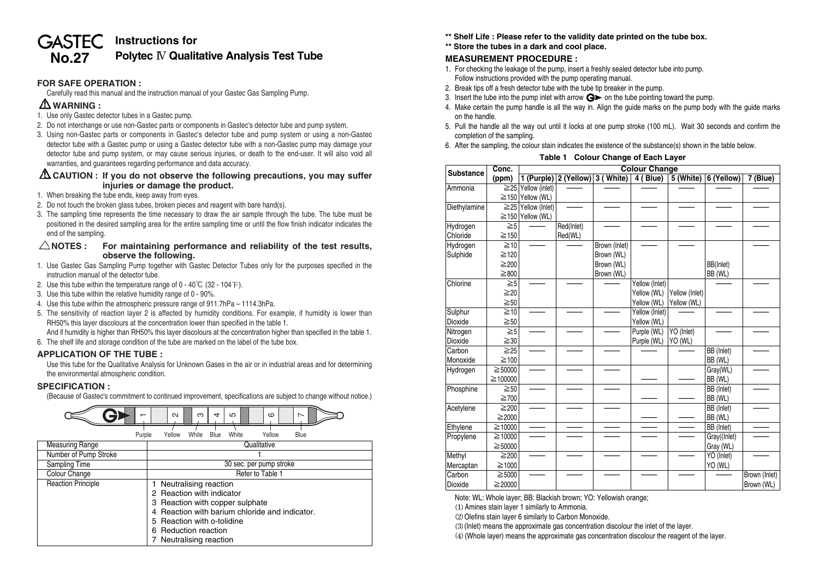# **GASTEC** Instructions for **No.27 Polytec** IV **Qualitative Analysis Test Tube**

## **FOR SAFE OPERATION :**

Carefully read this manual and the instruction manual of your Gastec Gas Sampling Pump.

# **WARNING :**

- 1. Use only Gastec detector tubes in a Gastec pump.
- 2. Do not interchange or use non-Gastec parts or components in Gastec's detector tube and pump system.
- 3. Using non-Gastec parts or components in Gastec's detector tube and pump system or using a non-Gastec detector tube with a Gastec pump or using a Gastec detector tube with a non-Gastec pump may damage your detector tube and pump system, or may cause serious injuries, or death to the end-user. It will also void all warranties, and guarantees regarding performance and data accuracy.

## **CAUTION : If you do not observe the following precautions, you may suffer injuries or damage the product.**

- 1. When breaking the tube ends, keep away from eyes.
- 2. Do not touch the broken glass tubes, broken pieces and reagent with bare hand(s).
- 3. The sampling time represents the time necessary to draw the air sample through the tube. The tube must be positioned in the desired sampling area for the entire sampling time or until the flow finish indicator indicates the end of the sampling.

### $\triangle$ NOTES : For maintaining performance and reliability of the test results, **observe the following.**

- 1. Use Gastec Gas Sampling Pump together with Gastec Detector Tubes only for the purposes specified in the instruction manual of the detector tube.
- 2. Use this tube within the temperature range of  $0 40^{\circ}C$  (32 104 $\circ$ F).
- 3. Use this tube within the relative humidity range of 0 90%.
- 4. Use this tube within the atmospheric pressure range of 911.7hPa 1114.3hPa.
- 5. The sensitivity of reaction layer 2 is affected by humidity conditions. For example, if humidity is lower than RH50% this layer discolours at the concentration lower than specified in the table 1.

And if humidity is higher than RH50% this layer discolours at the concentration higher than specified in the table 1.

6. The shelf life and storage condition of the tube are marked on the label of the tube box.

#### **APPLICATION OF THE TUBE :**

Use this tube for the Qualitative Analysis for Unknown Gases in the air or in industrial areas and for determining the environmental atmospheric condition.

#### **SPECIFICATION :**

(Because of Gastec's commitment to continued improvement, specifications are subject to change without notice.)



- **\*\* Shelf Life : Please refer to the validity date printed on the tube box.**
- **\*\* Store the tubes in a dark and cool place.**

# **MEASUREMENT PROCEDURE :**

- 1. For checking the leakage of the pump, insert a freshly sealed detector tube into pump. Follow instructions provided with the pump operating manual.
- 2. Break tips off a fresh detector tube with the tube tip breaker in the pump.
- 3. Insert the tube into the pump inlet with arrow  $\mathbf{G}$  on the tube pointing toward the pump.
- 4. Make certain the pump handle is all the way in. Align the guide marks on the pump body with the guide marks on the handle.
- 5. Pull the handle all the way out until it locks at one pump stroke (100 mL). Wait 30 seconds and confirm the completion of the sampling.
- 6. After the sampling, the colour stain indicates the existence of the substance(s) shown in the table below.

## **Table 1 Colour Change of Each Layer**

| <b>Substance</b> | Conc.       | <b>Colour Change</b>     |                                 |               |                |                |                |               |
|------------------|-------------|--------------------------|---------------------------------|---------------|----------------|----------------|----------------|---------------|
|                  | (ppm)       |                          | 1 (Purple) 2 (Yellow) 3 (White) |               | 4 (Blue)       | 5 (White)      | 6 (Yellow)     | 7 (Blue)      |
| Ammonia          |             | $\geq$ 25 Yellow (inlet) |                                 |               |                |                |                |               |
|                  |             | $\geq$ 150 Yellow (WL)   |                                 |               |                |                |                |               |
| Diethylamine     | $\geq 25$   | Yellow (Inlet)           |                                 |               |                |                |                |               |
|                  | $\geq$ 150  | Yellow (WL)              |                                 |               |                |                |                |               |
| Hydrogen         | $\geq 5$    |                          | Red(Inlet)                      |               |                |                |                |               |
| Chloride         | ≥150        |                          | Red(WL)                         |               |                |                |                |               |
| Hydrogen         | $\geq 10$   |                          |                                 | Brown (Inlet) |                |                |                |               |
| Sulphide         | ≥120        |                          |                                 | Brown (WL)    |                |                |                |               |
|                  | ≥200        |                          |                                 | Brown (WL)    |                |                | BB(Inlet)      |               |
|                  | ≥800        |                          |                                 | Brown (WL)    |                |                | BB (WL)        |               |
| Chlorine         | $\geq 5$    |                          |                                 |               | Yellow (Inlet) |                |                |               |
|                  | $\geq 20$   |                          |                                 |               | Yellow (WL)    | Yellow (Inlet) |                |               |
|                  | $\geq 50$   |                          |                                 |               | Yellow (WL)    | Yellow (WL)    |                |               |
| Sulphur          | $\geq 10$   |                          |                                 |               | Yellow (Inlet) |                |                |               |
| Dioxide          | $\geq 50$   |                          |                                 |               | Yellow (WL)    |                |                |               |
| Nitrogen         | $\geq 5$    |                          |                                 |               | Purple (WL)    | YO (Inlet)     |                |               |
| <b>Dioxide</b>   | $\geq 30$   |                          |                                 |               | Purple (WL)    | YO (WL)        |                |               |
| Carbon           | $\geq 25$   |                          |                                 |               |                |                | BB (Inlet)     |               |
| Monoxide         | ≥100        |                          |                                 |               |                |                | BB (WL)        |               |
| Hydrogen         | ≧50000      |                          |                                 |               |                |                | Gray(WL)       |               |
|                  | ≧100000     |                          |                                 |               |                |                | BB (WL)        |               |
| Phosphine        | $\geq 50$   |                          |                                 |               |                |                | BB (Inlet)     |               |
|                  | ≥700        |                          |                                 |               |                |                | BB (WL)        |               |
| Acetylene        | ≥200        |                          |                                 |               |                |                | BB (Inlet)     |               |
|                  | $≥$ 2000    |                          |                                 |               |                |                | BB (WL)        |               |
| Ethylene         | ≧10000      |                          |                                 |               |                |                | BB (Inlet)     |               |
| Propylene        | ≧10000      |                          |                                 |               |                |                | Gray((Inlet)   |               |
|                  | ≧50000      |                          |                                 |               |                |                | Gray (WL)      |               |
| Methyl           | ≥200        |                          |                                 |               |                |                | YO (Inlet)     |               |
| Mercaptan        | $\geq 1000$ |                          |                                 |               |                |                | <b>YO (WL)</b> |               |
| Carbon           | $≥5000$     |                          |                                 |               |                |                |                | Brown (Inlet) |
| <b>Dioxide</b>   | ≧20000      |                          |                                 |               |                |                |                | Brown (WL)    |

Note: WL: Whole layer; BB: Blackish brown; YO: Yellowish orange;

**(1)**Amines stain layer 1 similarly to Ammonia.

**(2)**Olefins stain layer 6 similarly to Carbon Monoxide.

**(3)**(Inlet) means the approximate gas concentration discolour the inlet of the layer.

**(4)**(Whole layer) means the approximate gas concentration discolour the reagent of the layer.